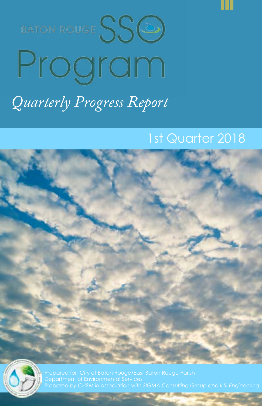



# Program *Quarterly Progress Report*

# 1st Quarter 2018



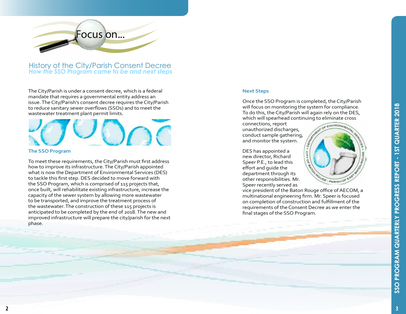

History of the City/Parish Consent Decree *How the SSO Program came to be and next steps*

The City/Parish is under a consent decree, which is a federal mandate that requires a governmental entity address an issue. The City/Parish's consent decree requires the City/Parish to reduce sanitary sewer overflows (SSOs) and to meet the wastewater treatment plant permit limits.

#### **The SSO Program**

To meet these requirements, the City/Parish must first address how to improve its infrastructure. The City/Parish appointed what is now the Department of Environmental Services (DES) to tackle this first step. DES decided to move forward with the SSO Program, which is comprised of 115 projects that, once built, will rehabilitate existing infrastructure, increase the capacity of the sewer system by allowing more wastewater to be transported, and improve the treatment process of the wastewater. The construction of these 115 projects is anticipated to be completed by the end of 2018. The new and improved infrastructure will prepare the city/parish for the next phase.

#### **Next Steps**

Once the SSO Program is completed, the City/Parish will focus on monitoring the system for compliance. To do this, the City/Parish will again rely on the DES, which will spearhead continuing to eliminate cross

connections, report unauthorized discharges, conduct sample gathering, and monitor the system.

DES has appointed a new director, Richard Speer P.E., to lead this effort and guide the department through its other responsibilities. Mr. Speer recently served as

vice president of the Baton Rouge office of AECOM, a multinational engineering firm. Mr. Speer is focused on completion of construction and fulfillment of the requirements of the Consent Decree as we enter the final stages of the SSO Program.

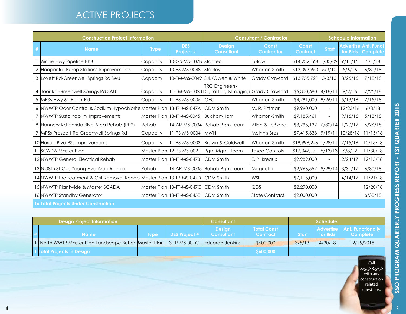# ACTIVE PROJECTS

| <b>Construction Project Information</b> |                                                                                    |             |                                         | <b>Consultant / Contractor</b>                                             |                            |                        | <b>Schedule Information</b> |          |                                                |
|-----------------------------------------|------------------------------------------------------------------------------------|-------------|-----------------------------------------|----------------------------------------------------------------------------|----------------------------|------------------------|-----------------------------|----------|------------------------------------------------|
| #                                       | <b>Name</b>                                                                        | <b>Type</b> | <b>DES</b><br>Project #                 | <b>Design</b><br><b>Consultant</b>                                         | Const<br><b>Contractor</b> | Const<br>Contract      | <b>Start</b>                | for Bids | <b>Advertise Ant. Funct</b><br><b>Complete</b> |
|                                         | Airline Hwy Pipeline PhB                                                           | Capacity    | 10-GS-MS-007B Stantec                   |                                                                            | Eutaw                      | \$14,232,168           | 1/30/09                     | 9/11/15  | 5/1/18                                         |
|                                         | 2 Hooper Rd Pump Stations Improvements                                             | Capacity    | 10-PS-MS-0048 Stanley                   |                                                                            | Wharton-Smith              | \$13,093,953           | 5/3/10                      | 5/6/16   | 6/30/18                                        |
|                                         | 3 Lovett Rd-Greenwell Springs Rd SAU                                               | Capacity    |                                         | 10-FM-MS-0049 SJB/Owen & White                                             | <b>Grady Crawford</b>      | \$13,755,721           | 5/3/10                      | 8/26/16  | 7/18/18                                        |
|                                         | 4 Joor Rd-Greenwell Springs Rd SAU                                                 | Capacity    |                                         | <b>TRC</b> Engineers/<br>11-FM-MS-0023 Digital Eng.&Imaging Grady Crawford |                            | \$6,300,680            | 4/18/11                     | 9/2/16   | 7/25/18                                        |
|                                         | 5 MPSs-Hwy 61-Plank Rd                                                             | Capacity    | 11-PS-MS-0035                           | <b>GEC</b>                                                                 | Wharton-Smith              | \$4,791,000            | 9/26/11                     | 5/13/16  | 7/15/18                                        |
|                                         | 6 NWWTP Odor Control & Sodium Hypochlorite Master Plan   13-TP-MS-047A   CDM Smith |             |                                         |                                                                            | M. R. Pittman              | \$9,990,000            | $\sim$                      | 12/23/16 | 6/8/18                                         |
| $\overline{7}$                          | NWWTP Sustainability Improvements                                                  |             | Master Plan   13-TP-MS-0045             | <b>Buchart-Horn</b>                                                        | Wharton-Smith              | \$7,185,461            |                             | 9/16/16  | 5/13/18                                        |
|                                         | 8 Flannery Rd-Florida Blvd Area Rehab (Ph2)                                        | Rehab       |                                         | 14-AR-MS-0034 Rehab Pgm Team                                               | Allen & LeBlanc            | \$3,796,137            | 6/30/14                     | 1/20/17  | 6/26/18                                        |
|                                         | 9 MPSs-Prescott Rd-Greenwell Springs Rd                                            | Capacity    | 11-PS-MS-0034                           | <b>MWH</b>                                                                 | McInnis Bros.              | \$7,415,338            | 9/19/11                     | 10/28/16 | 11/15/18                                       |
|                                         | 10 Florida Blvd PSs Improvements                                                   | Capacity    | 11-PS-MS-0003                           | Brown & Caldwell                                                           | Wharton-Smith              | $$19,996,246$  1/28/11 |                             | 7/15/16  | 10/15/18                                       |
|                                         | 11 SCADA Master Plan                                                               |             | Master Plan   12-PS-MS-0021             | Pgm Mgmt Team                                                              | <b>Tesco Controls</b>      | \$17,347,171           | 5/13/13                     | 6/8/12   | 11/30/18                                       |
|                                         | 12 NWWTP General Electrical Rehab                                                  |             | Master Plan   13-TP-MS-047B             | <b>CDM Smith</b>                                                           | E. P. Breaux               | \$9,989,000            | $\overline{\phantom{a}}$    | 2/24/17  | 12/15/18                                       |
|                                         | 13 N 38th St-Gus Young Ave Area Rehab                                              | Rehab       |                                         | 14-AR-MS-0035 Rehab Pam Team                                               | Magnolia                   | \$2,966,557            | 8/29/14                     | 3/31/17  | 6/30/18                                        |
|                                         | 14 NWWTP Pretreatment & Grit Removal Rehab Master Plan  13-TP-MS-047D              |             |                                         | <b>CDM Smith</b>                                                           | WSI                        | \$7,116,000            | $\overline{\phantom{a}}$    | 4/14/17  | 11/21/18                                       |
|                                         | l 15 NWWTP Plantwide & Master SCADA                                                |             | Master Plan   13-TP-MS-047C   CDM Smith |                                                                            | QDS                        | \$2,290,000            |                             |          | 12/20/18                                       |
|                                         | 16 NWWTP Standby Generator                                                         |             | Master Plan   13-TP-MS-045E   CDM Smith |                                                                            | <b>State Contract</b>      | \$2,000,000            |                             |          | 6/30/18                                        |
|                                         | <b>16 Total Projects Under Construction</b>                                        |             |                                         |                                                                            |                            |                        |                             |          |                                                |

| <b>Design Project Information</b> |  |                                                                                           |      | <b>Consultant</b>    |                                    | <b>Schedule</b>                       |              |                 |                                                |
|-----------------------------------|--|-------------------------------------------------------------------------------------------|------|----------------------|------------------------------------|---------------------------------------|--------------|-----------------|------------------------------------------------|
|                                   |  | Name:                                                                                     | Tvpe | <b>DES Project #</b> | <b>Design</b><br><b>Consultant</b> | <b>Total Const</b><br><b>Contract</b> | <b>Start</b> | <b>for Bids</b> | <b>Advertise Ant. Functionally</b><br>Complete |
|                                   |  | 1   North WWTP Master Plan Landscape Buffer  Master Plan  13-TP-MS-001C   Eduardo Jenkins |      |                      |                                    | \$600,000                             | 3/5/13       | 4/30/18         | 12/15/2018                                     |
|                                   |  | <b>Total Projects In Design</b>                                                           |      |                      |                                    | \$600,000                             |              |                 |                                                |

Call 225.588.5678 with any construction related questions.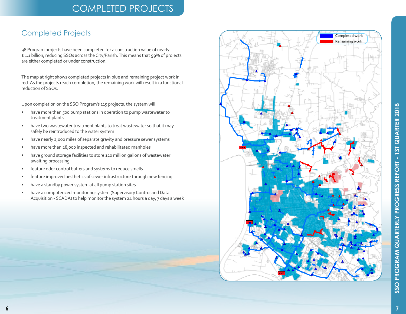# **COMPLETED PROJECTS**

#### **Completed Projects**

98 Program projects have been completed for a construction value of nearly \$1.1 billion, reducing SSOs across the City/Parish. This means that 99% of projects are either completed or under construction.

The map at right shows completed projects in blue and remaining project work in red. As the projects reach completion, the remaining work will result in a functional reduction of SSOs.

Upon completion on the SSO Program's 115 projects, the system will:

- have more than 500 pump stations in operation to pump wastewater to  $\bullet$ treatment plants
- have two wastewater treatment plants to treat wastewater so that it may  $\bullet$ safely be reintroduced to the water system
- have nearly 2,000 miles of separate gravity and pressure sewer systems  $\bullet$
- have more than 28,000 inspected and rehabilitated manholes
- have ground storage facilities to store 120 million gallons of wastewater  $\bullet$ awaiting processing
- feature odor control buffers and systems to reduce smells  $\bullet$
- feature improved aesthetics of sewer infrastructure through new fencing
- have a standby power system at all pump station sites
- have a computerized monitoring system (Supervisory Control and Data  $\bullet$ Acquisition - SCADA) to help monitor the system 24 hours a day, 7 days a week